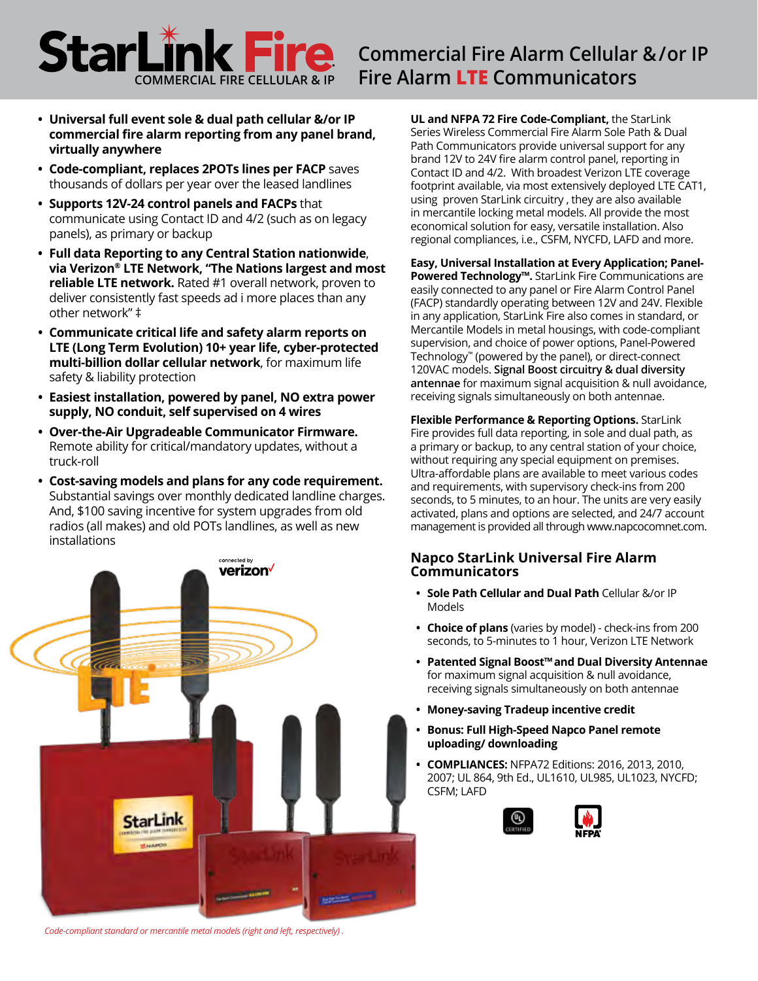# **Commercial Fire Alarm Cellular &/or IP COMMERCIAL FIRE COMMERCIAL FIRE COMMERCIAL FIRE COMMERCIAL FIRE COMMUNICATORS**

- **• Universal full event sole & dual path cellular &/or IP commercial fire alarm reporting from any panel brand, virtually anywhere**
- **• Code-compliant, replaces 2POTs lines per FACP** saves thousands of dollars per year over the leased landlines
- **• Supports 12V-24 control panels and FACPs** that communicate using Contact ID and 4/2 (such as on legacy panels), as primary or backup
- **• Full data Reporting to any Central Station nationwide**, **via Verizon® LTE Network, "The Nations largest and most reliable LTE network.** Rated #1 overall network, proven to deliver consistently fast speeds ad i more places than any other network" ‡
- **• Communicate critical life and safety alarm reports on LTE (Long Term Evolution) 10+ year life, cyber-protected multi-billion dollar cellular network**, for maximum life safety & liability protection
- **• Easiest installation, powered by panel, NO extra power supply, NO conduit, self supervised on 4 wires**
- **• Over-the-Air Upgradeable Communicator Firmware.**  Remote ability for critical/mandatory updates, without a truck-roll
- **• Cost-saving models and plans for any code requirement.** Substantial savings over monthly dedicated landline charges. And, \$100 saving incentive for system upgrades from old radios (all makes) and old POTs landlines, as well as new installations



**UL and NFPA 72 Fire Code-Compliant,** the StarLink Series Wireless Commercial Fire Alarm Sole Path & Dual Path Communicators provide universal support for any brand 12V to 24V fire alarm control panel, reporting in Contact ID and 4/2. With broadest Verizon LTE coverage footprint available, via most extensively deployed LTE CAT1, using proven StarLink circuitry , they are also available in mercantile locking metal models. All provide the most economical solution for easy, versatile installation. Also regional compliances, i.e., CSFM, NYCFD, LAFD and more.

**Easy, Universal Installation at Every Application; Panel-Powered Technology™.** StarLink Fire Communications are easily connected to any panel or Fire Alarm Control Panel (FACP) standardly operating between 12V and 24V. Flexible in any application, StarLink Fire also comes in standard, or Mercantile Models in metal housings, with code-compliant supervision, and choice of power options, Panel-Powered Technology™ (powered by the panel), or direct-connect 120VAC models. **Signal Boost circuitry & dual diversity antennae** for maximum signal acquisition & null avoidance, receiving signals simultaneously on both antennae.

**Flexible Performance & Reporting Options.** StarLink Fire provides full data reporting, in sole and dual path, as a primary or backup, to any central station of your choice, without requiring any special equipment on premises. Ultra-affordable plans are available to meet various codes and requirements, with supervisory check-ins from 200 seconds, to 5 minutes, to an hour. The units are very easily activated, plans and options are selected, and 24/7 account management is provided all through www.napcocomnet.com.

#### **Napco StarLink Universal Fire Alarm Communicators**

- **• Sole Path Cellular and Dual Path** Cellular &/or IP Models
- **• Choice of plans** (varies by model) check-ins from 200 seconds, to 5-minutes to 1 hour, Verizon LTE Network
- **• Patented Signal Boost™and Dual Diversity Antennae** for maximum signal acquisition & null avoidance, receiving signals simultaneously on both antennae
- **• Money-saving Tradeup incentive credit**
- **• Bonus: Full High-Speed Napco Panel remote uploading/ downloading**
- **• COMPLIANCES:** NFPA72 Editions: 2016, 2013, 2010, 2007; UL 864, 9th Ed., UL1610, UL985, UL1023, NYCFD; CSFM; LAFD





*Code-compliant standard or mercantile metal models (right and left, respectively) .*